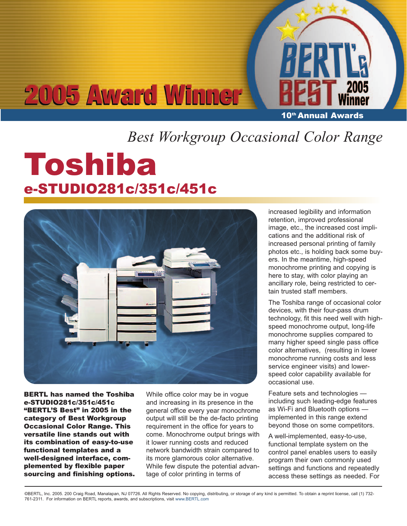# **2005 Award Winner**

10<sup>th</sup> Annual Awards

## *Best Workgroup Occasional Color Range*

## Toshiba e-STUDIO281c/351c/451c



BERTL has named the Toshiba e-STUDIO281c/351c/451c "BERTL'S Best" in 2005 in the category of Best Workgroup Occasional Color Range. This versatile line stands out with its combination of easy-to-use functional templates and a well-designed interface, complemented by flexible paper sourcing and finishing options.

While office color may be in vogue and increasing in its presence in the general office every year monochrome output will still be the de-facto printing requirement in the office for years to come. Monochrome output brings with it lower running costs and reduced network bandwidth strain compared to its more glamorous color alternative. While few dispute the potential advantage of color printing in terms of

increased legibility and information retention, improved professional image, etc., the increased cost implications and the additional risk of increased personal printing of family photos etc., is holding back some buyers. In the meantime, high-speed monochrome printing and copying is here to stay, with color playing an ancillary role, being restricted to certain trusted staff members.

The Toshiba range of occasional color devices, with their four-pass drum technology, fit this need well with highspeed monochrome output, long-life monochrome supplies compared to many higher speed single pass office color alternatives, (resulting in lower monochrome running costs and less service engineer visits) and lowerspeed color capability available for occasional use.

Feature sets and technologies including such leading-edge features as Wi-Fi and Bluetooth options implemented in this range extend beyond those on some competitors.

A well-implemented, easy-to-use, functional template system on the control panel enables users to easily program their own commonly used settings and functions and repeatedly access these settings as needed. For

©BERTL, Inc. 2005. 200 Craig Road, Manalapan, NJ 07726. All Rights Reserved. No copying, distributing, or storage of any kind is permitted. To obtain a reprint license, call (1) 732- 761-2311. For information on BERTL reports, awards, and subscriptions, visit www.BERTL.com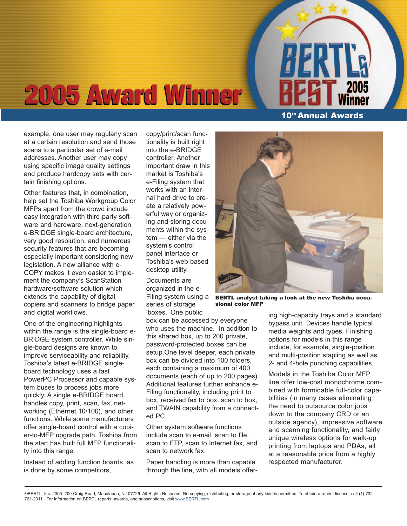## **2005 Award Winner**

example, one user may regularly scan at a certain resolution and send those scans to a particular set of e-mail addresses. Another user may copy using specific image quality settings and produce hardcopy sets with certain finishing options.

Other features that, in combination, help set the Toshiba Workgroup Color MFPs apart from the crowd include easy integration with third-party software and hardware, next-generation e-BRIDGE single-board architecture, very good resolution, and numerous security features that are becoming especially important considering new legislation. A new alliance with e-COPY makes it even easier to implement the company's ScanStation hardware/software solution which extends the capability of digital copiers and scanners to bridge paper and digital workflows.

One of the engineering highlights within the range is the single-board e-BRIDGE system controller. While single-board designs are known to improve serviceability and reliability, Toshiba's latest e-BRIDGE singleboard technology uses a fast PowerPC Processor and capable system buses to process jobs more quickly. A single e-BRIDGE board handles copy, print, scan, fax, networking (Ethernet 10/100), and other functions. While some manufacturers offer single-board control with a copier-to-MFP upgrade path, Toshiba from the start has built full MFP functionality into this range.

Instead of adding function boards, as is done by some competitors,

copy/print/scan functionality is built right into the e-BRIDGE controller. Another important draw in this market is Toshiba's e-Filing system that works with an internal hard drive to create a relatively powerful way or organizing and storing documents within the system — either via the system's control panel interface or Toshiba's web-based desktop utility.

Documents are organized in the e-Filing system using a series of storage

'boxes.' One public box can be accessed by everyone who uses the machine. In addition to this shared box, up to 200 private, password-protected boxes can be setup.One level deeper, each private box can be divided into 100 folders, each containing a maximum of 400 documents (each of up to 200 pages). Additional features further enhance e-Filing functionality, including print to box, received fax to box, scan to box, and TWAIN capability from a connected PC.

Other system software functions include scan to e-mail, scan to file, scan to FTP, scan to Internet fax, and scan to network fax.

Paper handling is more than capable through the line, with all models offer-

10<sup>th</sup> Annual Awards

BERTL analyst taking a look at the new Toshiba occasional color MFP

ing high-capacity trays and a standard bypass unit. Devices handle typical media weights and types. Finishing options for models in this range include, for example, single-position and multi-position stapling as well as 2- and 4-hole punching capabilities.

Models in the Toshiba Color MFP line offer low-cost monochrome combined with formidable full-color capabilities (in many cases eliminating the need to outsource color jobs down to the company CRD or an outside agency), impressive software and scanning functionality, and fairly unique wireless options for walk-up printing from laptops and PDAs, all at a reasonable price from a highly respected manufacturer.

©BERTL, Inc. 2005. 200 Craig Road, Manalapan, NJ 07726. All Rights Reserved. No copying, distributing, or storage of any kind is permitted. To obtain a reprint license, call (1) 732- 761-2311. For information on BERTL reports, awards, and subscriptions, visit www.BERTL.com